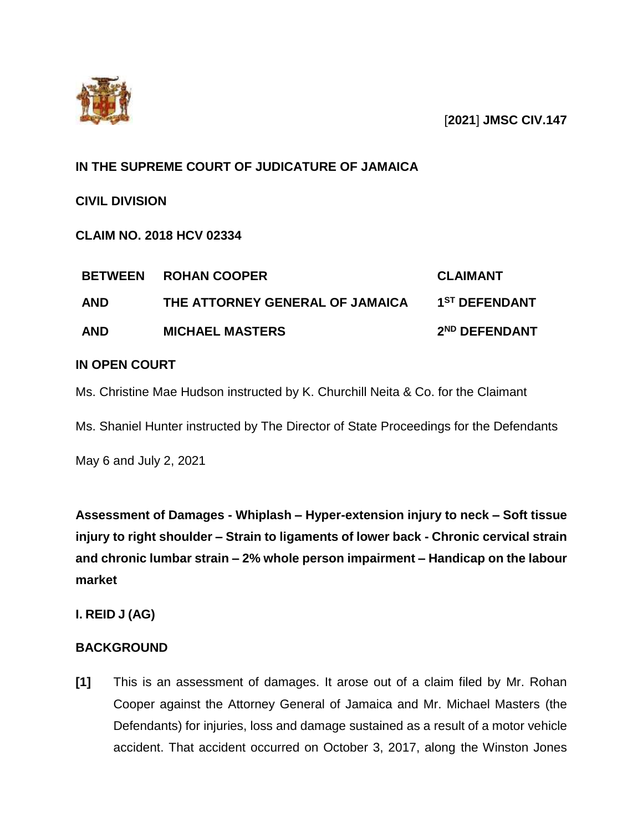

# **IN THE SUPREME COURT OF JUDICATURE OF JAMAICA**

**CIVIL DIVISION**

**CLAIM NO. 2018 HCV 02334**

| <b>BETWEEN</b> | <b>ROHAN COOPER</b>             | <b>CLAIMANT</b>           |
|----------------|---------------------------------|---------------------------|
| <b>AND</b>     | THE ATTORNEY GENERAL OF JAMAICA | 1 <sup>ST</sup> DEFENDANT |
| <b>AND</b>     | <b>MICHAEL MASTERS</b>          | 2 <sup>ND</sup> DEFENDANT |

# **IN OPEN COURT**

Ms. Christine Mae Hudson instructed by K. Churchill Neita & Co. for the Claimant

Ms. Shaniel Hunter instructed by The Director of State Proceedings for the Defendants

May 6 and July 2, 2021

**Assessment of Damages - Whiplash – Hyper-extension injury to neck – Soft tissue injury to right shoulder – Strain to ligaments of lower back - Chronic cervical strain and chronic lumbar strain – 2% whole person impairment – Handicap on the labour market** 

**I. REID J (AG)**

# **BACKGROUND**

**[1]** This is an assessment of damages. It arose out of a claim filed by Mr. Rohan Cooper against the Attorney General of Jamaica and Mr. Michael Masters (the Defendants) for injuries, loss and damage sustained as a result of a motor vehicle accident. That accident occurred on October 3, 2017, along the Winston Jones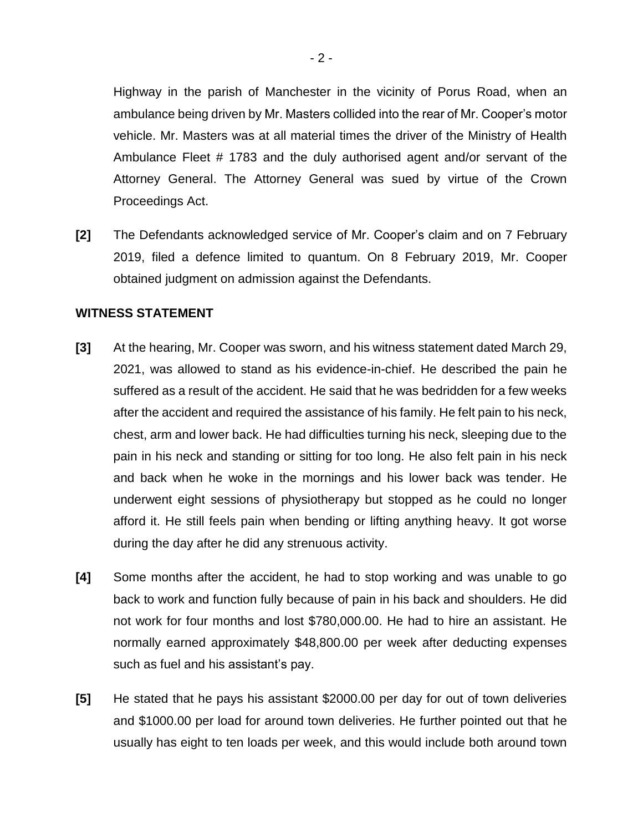Highway in the parish of Manchester in the vicinity of Porus Road, when an ambulance being driven by Mr. Masters collided into the rear of Mr. Cooper's motor vehicle. Mr. Masters was at all material times the driver of the Ministry of Health Ambulance Fleet # 1783 and the duly authorised agent and/or servant of the Attorney General. The Attorney General was sued by virtue of the Crown Proceedings Act.

**[2]** The Defendants acknowledged service of Mr. Cooper's claim and on 7 February 2019, filed a defence limited to quantum. On 8 February 2019, Mr. Cooper obtained judgment on admission against the Defendants.

#### **WITNESS STATEMENT**

- **[3]** At the hearing, Mr. Cooper was sworn, and his witness statement dated March 29, 2021, was allowed to stand as his evidence-in-chief. He described the pain he suffered as a result of the accident. He said that he was bedridden for a few weeks after the accident and required the assistance of his family. He felt pain to his neck, chest, arm and lower back. He had difficulties turning his neck, sleeping due to the pain in his neck and standing or sitting for too long. He also felt pain in his neck and back when he woke in the mornings and his lower back was tender. He underwent eight sessions of physiotherapy but stopped as he could no longer afford it. He still feels pain when bending or lifting anything heavy. It got worse during the day after he did any strenuous activity.
- **[4]** Some months after the accident, he had to stop working and was unable to go back to work and function fully because of pain in his back and shoulders. He did not work for four months and lost \$780,000.00. He had to hire an assistant. He normally earned approximately \$48,800.00 per week after deducting expenses such as fuel and his assistant's pay.
- **[5]** He stated that he pays his assistant \$2000.00 per day for out of town deliveries and \$1000.00 per load for around town deliveries. He further pointed out that he usually has eight to ten loads per week, and this would include both around town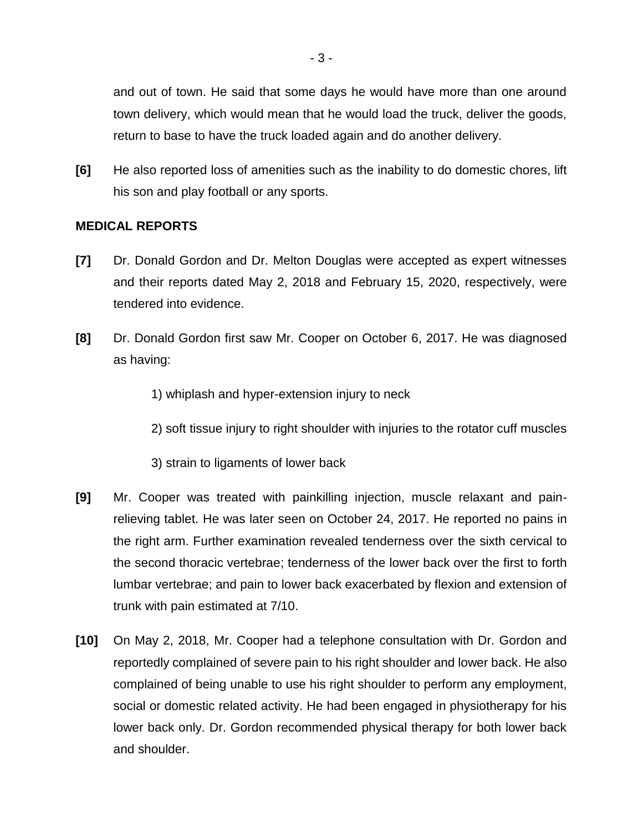and out of town. He said that some days he would have more than one around town delivery, which would mean that he would load the truck, deliver the goods, return to base to have the truck loaded again and do another delivery.

**[6]** He also reported loss of amenities such as the inability to do domestic chores, lift his son and play football or any sports.

### **MEDICAL REPORTS**

- **[7]** Dr. Donald Gordon and Dr. Melton Douglas were accepted as expert witnesses and their reports dated May 2, 2018 and February 15, 2020, respectively, were tendered into evidence.
- **[8]** Dr. Donald Gordon first saw Mr. Cooper on October 6, 2017. He was diagnosed as having:

2) soft tissue injury to right shoulder with injuries to the rotator cuff muscles

- 3) strain to ligaments of lower back
- **[9]** Mr. Cooper was treated with painkilling injection, muscle relaxant and painrelieving tablet. He was later seen on October 24, 2017. He reported no pains in the right arm. Further examination revealed tenderness over the sixth cervical to the second thoracic vertebrae; tenderness of the lower back over the first to forth lumbar vertebrae; and pain to lower back exacerbated by flexion and extension of trunk with pain estimated at 7/10.
- **[10]** On May 2, 2018, Mr. Cooper had a telephone consultation with Dr. Gordon and reportedly complained of severe pain to his right shoulder and lower back. He also complained of being unable to use his right shoulder to perform any employment, social or domestic related activity. He had been engaged in physiotherapy for his lower back only. Dr. Gordon recommended physical therapy for both lower back and shoulder.

<sup>1)</sup> whiplash and hyper-extension injury to neck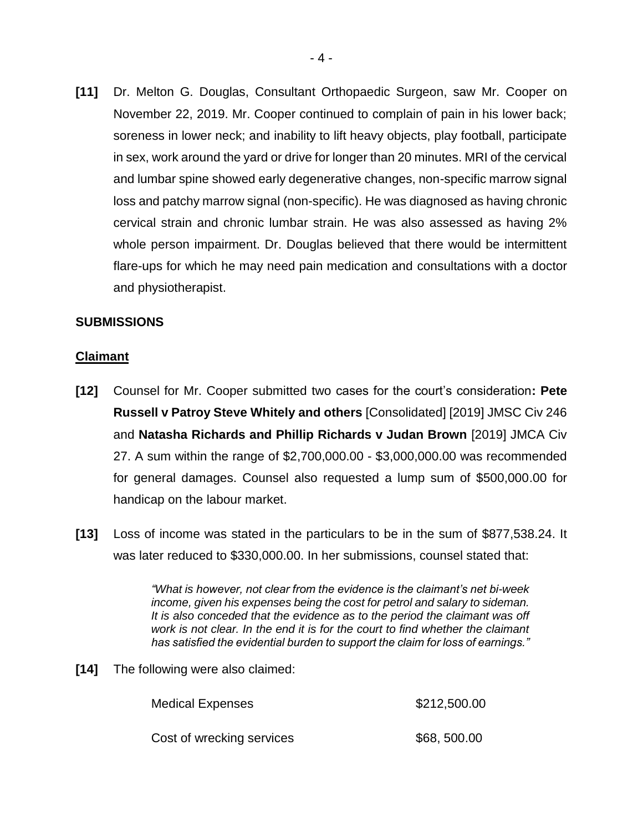**[11]** Dr. Melton G. Douglas, Consultant Orthopaedic Surgeon, saw Mr. Cooper on November 22, 2019. Mr. Cooper continued to complain of pain in his lower back; soreness in lower neck; and inability to lift heavy objects, play football, participate in sex, work around the yard or drive for longer than 20 minutes. MRI of the cervical and lumbar spine showed early degenerative changes, non-specific marrow signal loss and patchy marrow signal (non-specific). He was diagnosed as having chronic cervical strain and chronic lumbar strain. He was also assessed as having 2% whole person impairment. Dr. Douglas believed that there would be intermittent flare-ups for which he may need pain medication and consultations with a doctor and physiotherapist.

### **SUBMISSIONS**

### **Claimant**

- **[12]** Counsel for Mr. Cooper submitted two cases for the court's consideration**: Pete Russell v Patroy Steve Whitely and others** [Consolidated] [2019] JMSC Civ 246 and **Natasha Richards and Phillip Richards v Judan Brown** [2019] JMCA Civ 27. A sum within the range of \$2,700,000.00 - \$3,000,000.00 was recommended for general damages. Counsel also requested a lump sum of \$500,000.00 for handicap on the labour market.
- **[13]** Loss of income was stated in the particulars to be in the sum of \$877,538.24. It was later reduced to \$330,000.00. In her submissions, counsel stated that:

*"What is however, not clear from the evidence is the claimant's net bi-week income, given his expenses being the cost for petrol and salary to sideman. It is also conceded that the evidence as to the period the claimant was off work is not clear. In the end it is for the court to find whether the claimant has satisfied the evidential burden to support the claim for loss of earnings."*

**[14]** The following were also claimed:

| <b>Medical Expenses</b>   | \$212,500.00 |  |
|---------------------------|--------------|--|
| Cost of wrecking services | \$68,500.00  |  |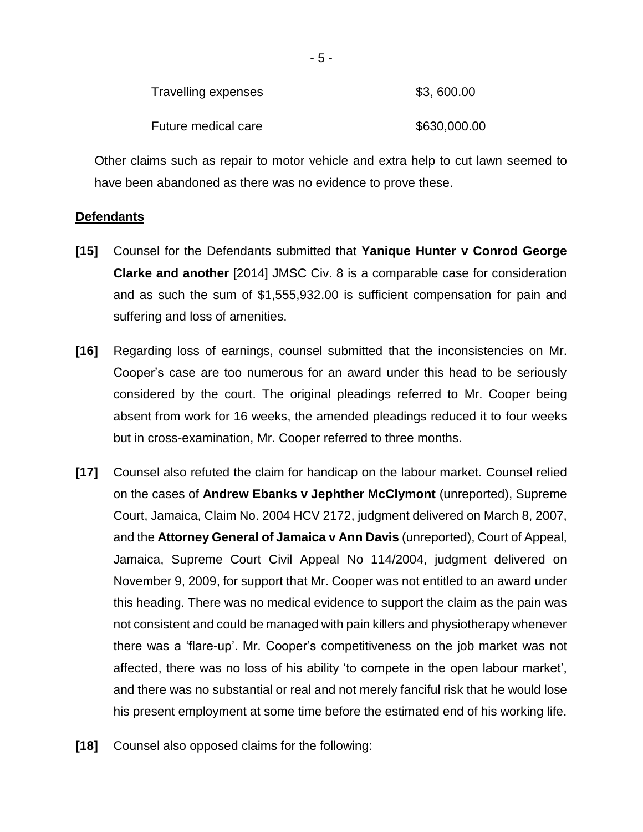| Travelling expenses | \$3,600.00   |
|---------------------|--------------|
| Future medical care | \$630,000.00 |

Other claims such as repair to motor vehicle and extra help to cut lawn seemed to have been abandoned as there was no evidence to prove these.

### **Defendants**

- **[15]** Counsel for the Defendants submitted that **Yanique Hunter v Conrod George Clarke and another** [2014] JMSC Civ. 8 is a comparable case for consideration and as such the sum of \$1,555,932.00 is sufficient compensation for pain and suffering and loss of amenities.
- **[16]** Regarding loss of earnings, counsel submitted that the inconsistencies on Mr. Cooper's case are too numerous for an award under this head to be seriously considered by the court. The original pleadings referred to Mr. Cooper being absent from work for 16 weeks, the amended pleadings reduced it to four weeks but in cross-examination, Mr. Cooper referred to three months.
- **[17]** Counsel also refuted the claim for handicap on the labour market. Counsel relied on the cases of **Andrew Ebanks v Jephther McClymont** (unreported), Supreme Court, Jamaica, Claim No. 2004 HCV 2172, judgment delivered on March 8, 2007, and the **Attorney General of Jamaica v Ann Davis** (unreported), Court of Appeal, Jamaica, Supreme Court Civil Appeal No 114/2004, judgment delivered on November 9, 2009, for support that Mr. Cooper was not entitled to an award under this heading. There was no medical evidence to support the claim as the pain was not consistent and could be managed with pain killers and physiotherapy whenever there was a 'flare-up'. Mr. Cooper's competitiveness on the job market was not affected, there was no loss of his ability 'to compete in the open labour market', and there was no substantial or real and not merely fanciful risk that he would lose his present employment at some time before the estimated end of his working life.
- **[18]** Counsel also opposed claims for the following: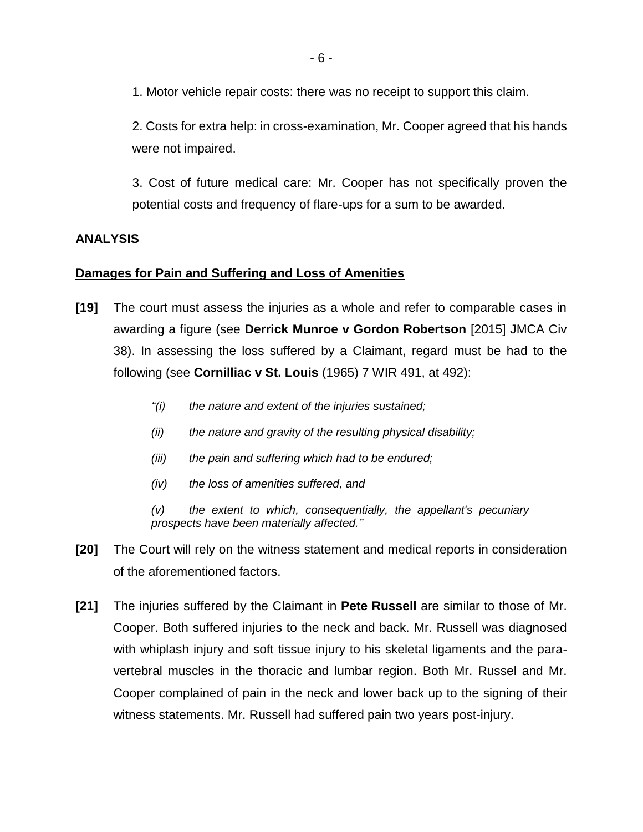1. Motor vehicle repair costs: there was no receipt to support this claim.

2. Costs for extra help: in cross-examination, Mr. Cooper agreed that his hands were not impaired.

3. Cost of future medical care: Mr. Cooper has not specifically proven the potential costs and frequency of flare-ups for a sum to be awarded.

# **ANALYSIS**

### **Damages for Pain and Suffering and Loss of Amenities**

- **[19]** The court must assess the injuries as a whole and refer to comparable cases in awarding a figure (see **Derrick Munroe v Gordon Robertson** [2015] JMCA Civ 38). In assessing the loss suffered by a Claimant, regard must be had to the following (see **Cornilliac v St. Louis** (1965) 7 WIR 491, at 492):
	- *"(i) the nature and extent of the injuries sustained;*
	- *(ii) the nature and gravity of the resulting physical disability;*
	- *(iii) the pain and suffering which had to be endured;*
	- *(iv) the loss of amenities suffered, and*

*(v) the extent to which, consequentially, the appellant's pecuniary prospects have been materially affected."*

- **[20]** The Court will rely on the witness statement and medical reports in consideration of the aforementioned factors.
- **[21]** The injuries suffered by the Claimant in **Pete Russell** are similar to those of Mr. Cooper. Both suffered injuries to the neck and back. Mr. Russell was diagnosed with whiplash injury and soft tissue injury to his skeletal ligaments and the paravertebral muscles in the thoracic and lumbar region. Both Mr. Russel and Mr. Cooper complained of pain in the neck and lower back up to the signing of their witness statements. Mr. Russell had suffered pain two years post-injury.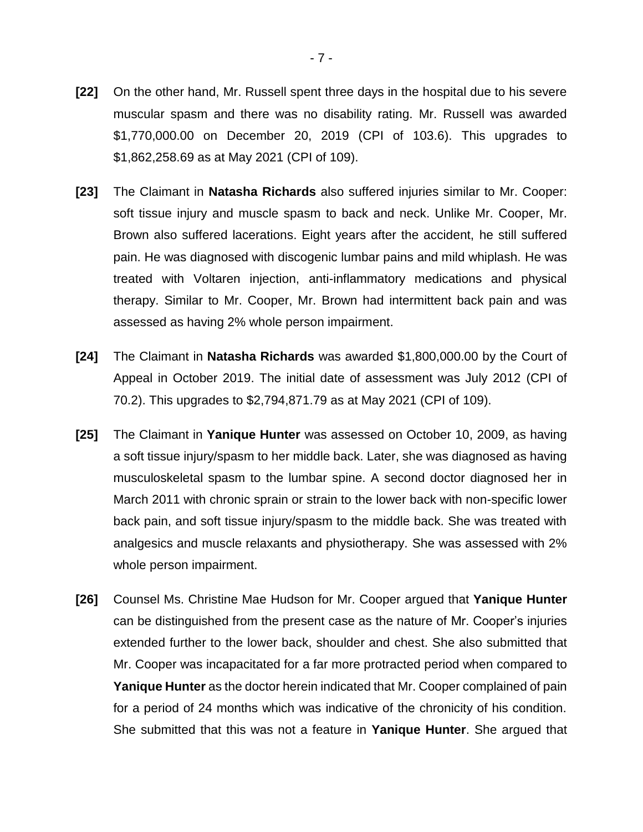- **[22]** On the other hand, Mr. Russell spent three days in the hospital due to his severe muscular spasm and there was no disability rating. Mr. Russell was awarded \$1,770,000.00 on December 20, 2019 (CPI of 103.6). This upgrades to \$1,862,258.69 as at May 2021 (CPI of 109).
- **[23]** The Claimant in **Natasha Richards** also suffered injuries similar to Mr. Cooper: soft tissue injury and muscle spasm to back and neck. Unlike Mr. Cooper, Mr. Brown also suffered lacerations. Eight years after the accident, he still suffered pain. He was diagnosed with discogenic lumbar pains and mild whiplash. He was treated with Voltaren injection, anti-inflammatory medications and physical therapy. Similar to Mr. Cooper, Mr. Brown had intermittent back pain and was assessed as having 2% whole person impairment.
- **[24]** The Claimant in **Natasha Richards** was awarded \$1,800,000.00 by the Court of Appeal in October 2019. The initial date of assessment was July 2012 (CPI of 70.2). This upgrades to \$2,794,871.79 as at May 2021 (CPI of 109).
- **[25]** The Claimant in **Yanique Hunter** was assessed on October 10, 2009, as having a soft tissue injury/spasm to her middle back. Later, she was diagnosed as having musculoskeletal spasm to the lumbar spine. A second doctor diagnosed her in March 2011 with chronic sprain or strain to the lower back with non-specific lower back pain, and soft tissue injury/spasm to the middle back. She was treated with analgesics and muscle relaxants and physiotherapy. She was assessed with 2% whole person impairment.
- **[26]** Counsel Ms. Christine Mae Hudson for Mr. Cooper argued that **Yanique Hunter** can be distinguished from the present case as the nature of Mr. Cooper's injuries extended further to the lower back, shoulder and chest. She also submitted that Mr. Cooper was incapacitated for a far more protracted period when compared to **Yanique Hunter** as the doctor herein indicated that Mr. Cooper complained of pain for a period of 24 months which was indicative of the chronicity of his condition. She submitted that this was not a feature in **Yanique Hunter**. She argued that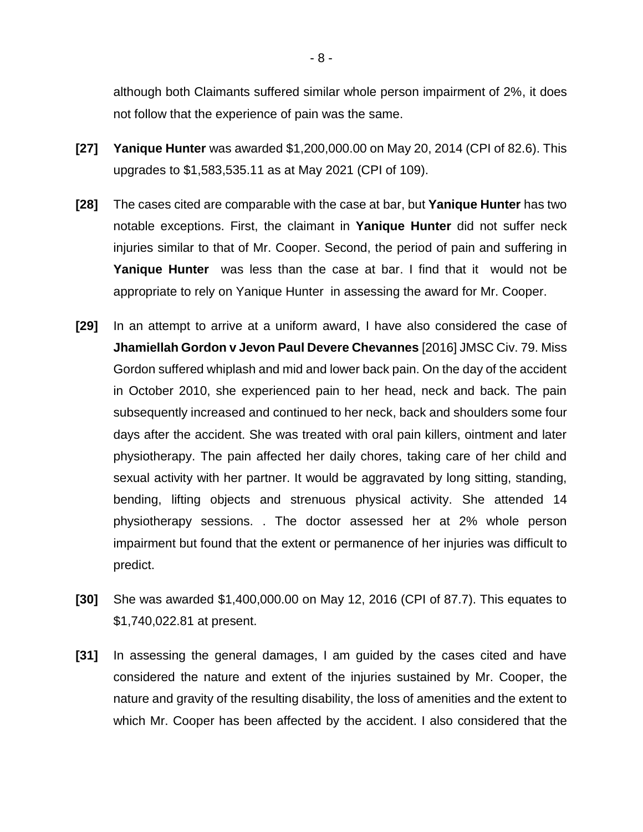although both Claimants suffered similar whole person impairment of 2%, it does not follow that the experience of pain was the same.

- **[27] Yanique Hunter** was awarded \$1,200,000.00 on May 20, 2014 (CPI of 82.6). This upgrades to \$1,583,535.11 as at May 2021 (CPI of 109).
- **[28]** The cases cited are comparable with the case at bar, but **Yanique Hunter** has two notable exceptions. First, the claimant in **Yanique Hunter** did not suffer neck injuries similar to that of Mr. Cooper. Second, the period of pain and suffering in **Yanique Hunter** was less than the case at bar. I find that it would not be appropriate to rely on Yanique Hunter in assessing the award for Mr. Cooper.
- **[29]** In an attempt to arrive at a uniform award, I have also considered the case of **Jhamiellah Gordon v Jevon Paul Devere Chevannes** [2016] JMSC Civ. 79. Miss Gordon suffered whiplash and mid and lower back pain. On the day of the accident in October 2010, she experienced pain to her head, neck and back. The pain subsequently increased and continued to her neck, back and shoulders some four days after the accident. She was treated with oral pain killers, ointment and later physiotherapy. The pain affected her daily chores, taking care of her child and sexual activity with her partner. It would be aggravated by long sitting, standing, bending, lifting objects and strenuous physical activity. She attended 14 physiotherapy sessions. . The doctor assessed her at 2% whole person impairment but found that the extent or permanence of her injuries was difficult to predict.
- **[30]** She was awarded \$1,400,000.00 on May 12, 2016 (CPI of 87.7). This equates to \$1,740,022.81 at present.
- **[31]** In assessing the general damages, I am guided by the cases cited and have considered the nature and extent of the injuries sustained by Mr. Cooper, the nature and gravity of the resulting disability, the loss of amenities and the extent to which Mr. Cooper has been affected by the accident. I also considered that the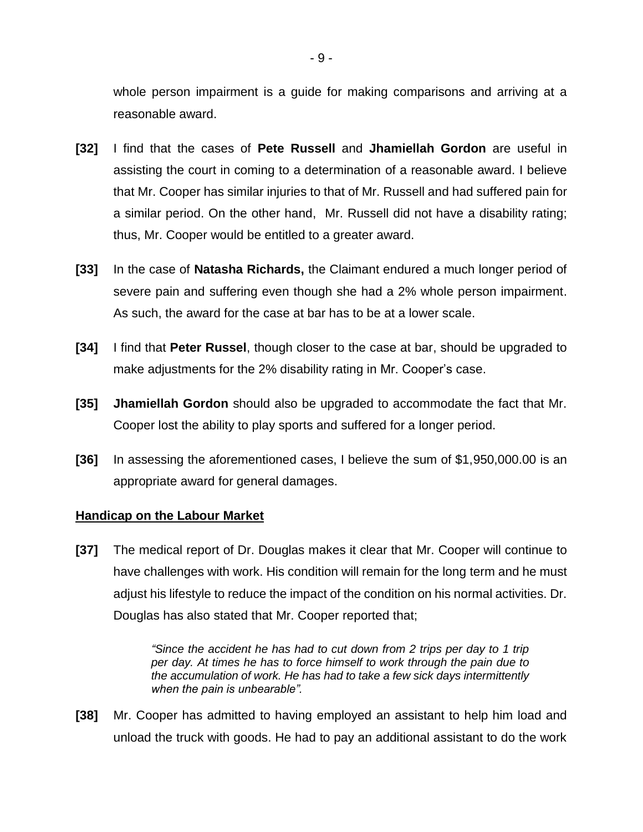whole person impairment is a guide for making comparisons and arriving at a reasonable award.

- **[32]** I find that the cases of **Pete Russell** and **Jhamiellah Gordon** are useful in assisting the court in coming to a determination of a reasonable award. I believe that Mr. Cooper has similar injuries to that of Mr. Russell and had suffered pain for a similar period. On the other hand, Mr. Russell did not have a disability rating; thus, Mr. Cooper would be entitled to a greater award.
- **[33]** In the case of **Natasha Richards,** the Claimant endured a much longer period of severe pain and suffering even though she had a 2% whole person impairment. As such, the award for the case at bar has to be at a lower scale.
- **[34]** I find that **Peter Russel**, though closer to the case at bar, should be upgraded to make adjustments for the 2% disability rating in Mr. Cooper's case.
- **[35] Jhamiellah Gordon** should also be upgraded to accommodate the fact that Mr. Cooper lost the ability to play sports and suffered for a longer period.
- **[36]** In assessing the aforementioned cases, I believe the sum of \$1,950,000.00 is an appropriate award for general damages.

### **Handicap on the Labour Market**

**[37]** The medical report of Dr. Douglas makes it clear that Mr. Cooper will continue to have challenges with work. His condition will remain for the long term and he must adjust his lifestyle to reduce the impact of the condition on his normal activities. Dr. Douglas has also stated that Mr. Cooper reported that;

> *"Since the accident he has had to cut down from 2 trips per day to 1 trip per day. At times he has to force himself to work through the pain due to the accumulation of work. He has had to take a few sick days intermittently when the pain is unbearable".*

**[38]** Mr. Cooper has admitted to having employed an assistant to help him load and unload the truck with goods. He had to pay an additional assistant to do the work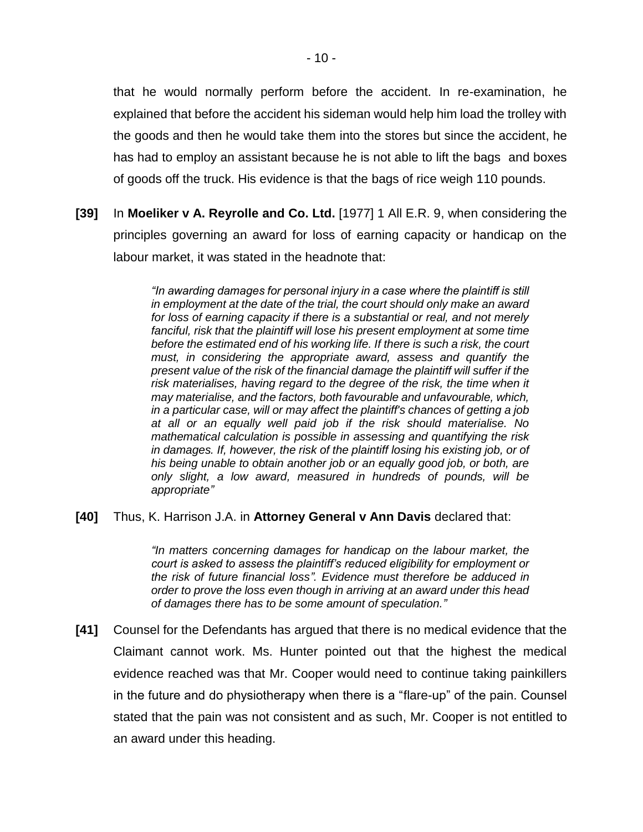that he would normally perform before the accident. In re-examination, he explained that before the accident his sideman would help him load the trolley with the goods and then he would take them into the stores but since the accident, he has had to employ an assistant because he is not able to lift the bags and boxes of goods off the truck. His evidence is that the bags of rice weigh 110 pounds.

**[39]** In **Moeliker v A. Reyrolle and Co. Ltd.** [1977] 1 All E.R. 9, when considering the principles governing an award for loss of earning capacity or handicap on the labour market, it was stated in the headnote that:

> *"In awarding damages for personal injury in a case where the plaintiff is still in employment at the date of the trial, the court should only make an award for loss of earning capacity if there is a substantial or real, and not merely*  fanciful, risk that the plaintiff will lose his present employment at some time *before the estimated end of his working life. If there is such a risk, the court must, in considering the appropriate award, assess and quantify the present value of the risk of the financial damage the plaintiff will suffer if the risk materialises, having regard to the degree of the risk, the time when it may materialise, and the factors, both favourable and unfavourable, which, in a particular case, will or may affect the plaintiff's chances of getting a job at all or an equally well paid job if the risk should materialise. No mathematical calculation is possible in assessing and quantifying the risk in damages. If, however, the risk of the plaintiff losing his existing job, or of his being unable to obtain another job or an equally good job, or both, are only slight, a low award, measured in hundreds of pounds, will be appropriate"*

### **[40]** Thus, K. Harrison J.A. in **Attorney General v Ann Davis** declared that:

*"In matters concerning damages for handicap on the labour market, the court is asked to assess the plaintiff's reduced eligibility for employment or the risk of future financial loss". Evidence must therefore be adduced in order to prove the loss even though in arriving at an award under this head of damages there has to be some amount of speculation."*

**[41]** Counsel for the Defendants has argued that there is no medical evidence that the Claimant cannot work. Ms. Hunter pointed out that the highest the medical evidence reached was that Mr. Cooper would need to continue taking painkillers in the future and do physiotherapy when there is a "flare-up" of the pain. Counsel stated that the pain was not consistent and as such, Mr. Cooper is not entitled to an award under this heading.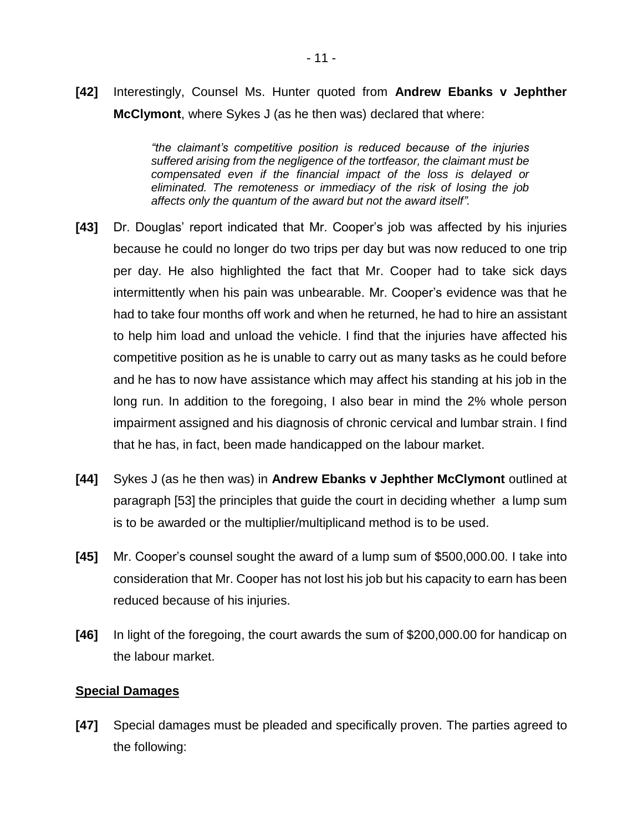**[42]** Interestingly, Counsel Ms. Hunter quoted from **Andrew Ebanks v Jephther McClymont**, where Sykes J (as he then was) declared that where:

> *"the claimant's competitive position is reduced because of the injuries suffered arising from the negligence of the tortfeasor, the claimant must be compensated even if the financial impact of the loss is delayed or eliminated. The remoteness or immediacy of the risk of losing the job affects only the quantum of the award but not the award itself".*

- **[43]** Dr. Douglas' report indicated that Mr. Cooper's job was affected by his injuries because he could no longer do two trips per day but was now reduced to one trip per day. He also highlighted the fact that Mr. Cooper had to take sick days intermittently when his pain was unbearable. Mr. Cooper's evidence was that he had to take four months off work and when he returned, he had to hire an assistant to help him load and unload the vehicle. I find that the injuries have affected his competitive position as he is unable to carry out as many tasks as he could before and he has to now have assistance which may affect his standing at his job in the long run. In addition to the foregoing, I also bear in mind the 2% whole person impairment assigned and his diagnosis of chronic cervical and lumbar strain. I find that he has, in fact, been made handicapped on the labour market.
- **[44]** Sykes J (as he then was) in **Andrew Ebanks v Jephther McClymont** outlined at paragraph [53] the principles that guide the court in deciding whether a lump sum is to be awarded or the multiplier/multiplicand method is to be used.
- **[45]** Mr. Cooper's counsel sought the award of a lump sum of \$500,000.00. I take into consideration that Mr. Cooper has not lost his job but his capacity to earn has been reduced because of his injuries.
- **[46]** In light of the foregoing, the court awards the sum of \$200,000.00 for handicap on the labour market.

### **Special Damages**

**[47]** Special damages must be pleaded and specifically proven. The parties agreed to the following: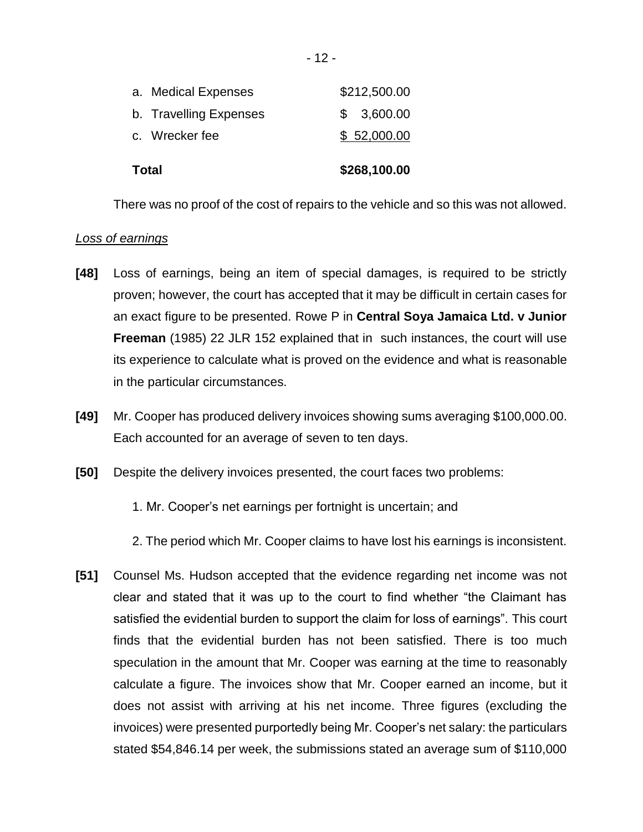| Total |                        | \$268,100.00 |
|-------|------------------------|--------------|
|       | c. Wrecker fee         | \$52,000.00  |
|       | b. Travelling Expenses | \$3,600.00   |
|       | a. Medical Expenses    | \$212,500.00 |

There was no proof of the cost of repairs to the vehicle and so this was not allowed.

### *Loss of earnings*

- **[48]** Loss of earnings, being an item of special damages, is required to be strictly proven; however, the court has accepted that it may be difficult in certain cases for an exact figure to be presented. Rowe P in **Central Soya Jamaica Ltd. v Junior Freeman** (1985) 22 JLR 152 explained that in such instances, the court will use its experience to calculate what is proved on the evidence and what is reasonable in the particular circumstances.
- **[49]** Mr. Cooper has produced delivery invoices showing sums averaging \$100,000.00. Each accounted for an average of seven to ten days.
- **[50]** Despite the delivery invoices presented, the court faces two problems:
	- 1. Mr. Cooper's net earnings per fortnight is uncertain; and
	- 2. The period which Mr. Cooper claims to have lost his earnings is inconsistent.
- **[51]** Counsel Ms. Hudson accepted that the evidence regarding net income was not clear and stated that it was up to the court to find whether "the Claimant has satisfied the evidential burden to support the claim for loss of earnings". This court finds that the evidential burden has not been satisfied. There is too much speculation in the amount that Mr. Cooper was earning at the time to reasonably calculate a figure. The invoices show that Mr. Cooper earned an income, but it does not assist with arriving at his net income. Three figures (excluding the invoices) were presented purportedly being Mr. Cooper's net salary: the particulars stated \$54,846.14 per week, the submissions stated an average sum of \$110,000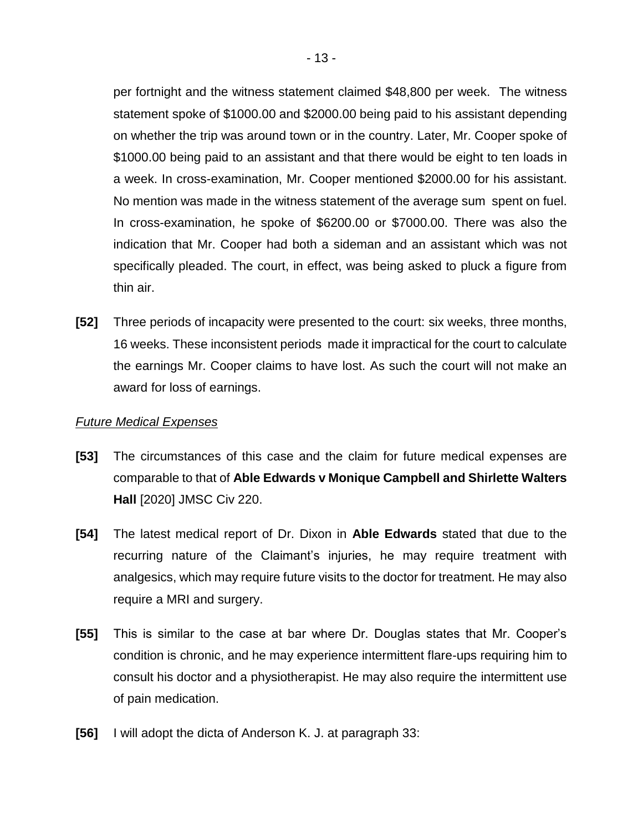per fortnight and the witness statement claimed \$48,800 per week. The witness statement spoke of \$1000.00 and \$2000.00 being paid to his assistant depending on whether the trip was around town or in the country. Later, Mr. Cooper spoke of \$1000.00 being paid to an assistant and that there would be eight to ten loads in a week. In cross-examination, Mr. Cooper mentioned \$2000.00 for his assistant. No mention was made in the witness statement of the average sum spent on fuel. In cross-examination, he spoke of \$6200.00 or \$7000.00. There was also the indication that Mr. Cooper had both a sideman and an assistant which was not specifically pleaded. The court, in effect, was being asked to pluck a figure from thin air.

**[52]** Three periods of incapacity were presented to the court: six weeks, three months, 16 weeks. These inconsistent periods made it impractical for the court to calculate the earnings Mr. Cooper claims to have lost. As such the court will not make an award for loss of earnings.

### *Future Medical Expenses*

- **[53]** The circumstances of this case and the claim for future medical expenses are comparable to that of **Able Edwards v Monique Campbell and Shirlette Walters Hall** [2020] JMSC Civ 220.
- **[54]** The latest medical report of Dr. Dixon in **Able Edwards** stated that due to the recurring nature of the Claimant's injuries, he may require treatment with analgesics, which may require future visits to the doctor for treatment. He may also require a MRI and surgery.
- **[55]** This is similar to the case at bar where Dr. Douglas states that Mr. Cooper's condition is chronic, and he may experience intermittent flare-ups requiring him to consult his doctor and a physiotherapist. He may also require the intermittent use of pain medication.
- **[56]** I will adopt the dicta of Anderson K. J. at paragraph 33: